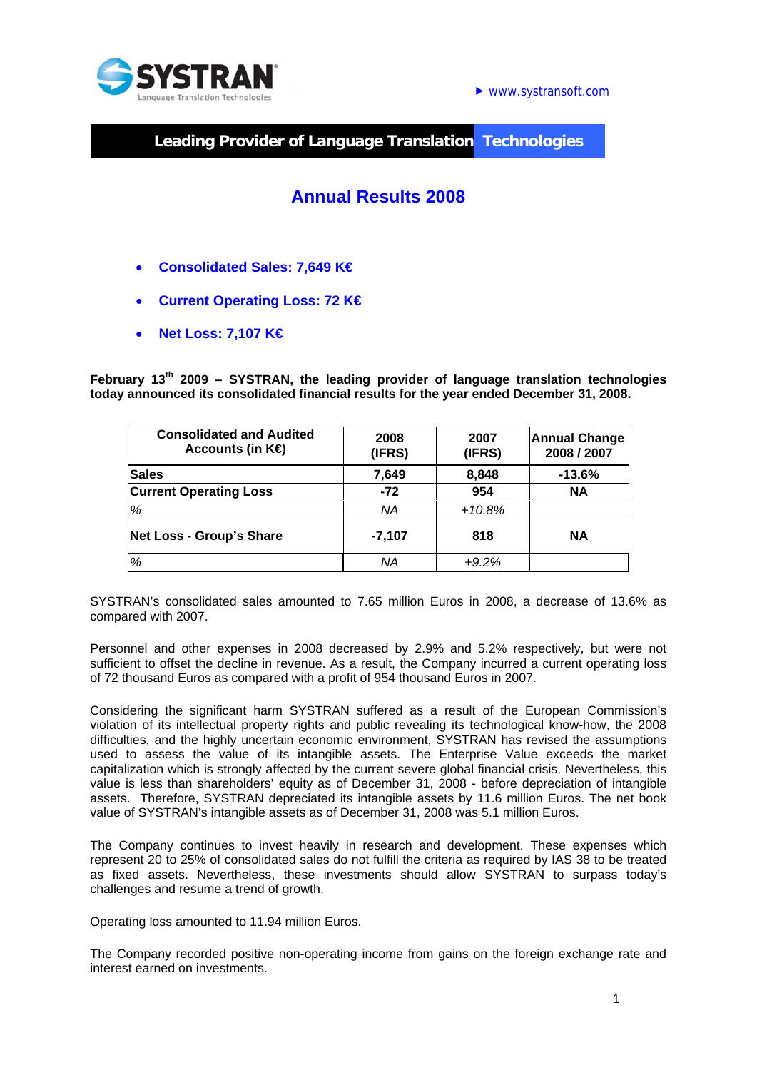

 $\blacktriangleright$  www.systransoft.com

**Leading Provider of Language Translation Technologies** 

# **Annual Results 2008**

- **Consolidated Sales: 7,649 K€**
- **Current Operating Loss: 72 K€**
- **Net Loss: 7,107 K€**

**February 13th 2009 – SYSTRAN, the leading provider of language translation technologies today announced its consolidated financial results for the year ended December 31, 2008.** 

| <b>Consolidated and Audited</b><br>Accounts (in $K\oplus$ | 2008<br>(IFRS) | 2007<br>(IFRS) | <b>Annual Change</b><br>2008 / 2007 |
|-----------------------------------------------------------|----------------|----------------|-------------------------------------|
| <b>Sales</b>                                              | 7,649          | 8,848          | $-13.6%$                            |
| <b>Current Operating Loss</b>                             | $-72$          | 954            | <b>NA</b>                           |
| %                                                         | <b>NA</b>      | $+10.8%$       |                                     |
| Net Loss - Group's Share                                  | $-7,107$       | 818            | <b>NA</b>                           |
| %                                                         | ΝA             | $+9.2%$        |                                     |

SYSTRAN's consolidated sales amounted to 7.65 million Euros in 2008, a decrease of 13.6% as compared with 2007.

Personnel and other expenses in 2008 decreased by 2.9% and 5.2% respectively, but were not sufficient to offset the decline in revenue. As a result, the Company incurred a current operating loss of 72 thousand Euros as compared with a profit of 954 thousand Euros in 2007.

Considering the significant harm SYSTRAN suffered as a result of the European Commission's violation of its intellectual property rights and public revealing its technological know-how, the 2008 difficulties, and the highly uncertain economic environment, SYSTRAN has revised the assumptions used to assess the value of its intangible assets. The Enterprise Value exceeds the market capitalization which is strongly affected by the current severe global financial crisis. Nevertheless, this value is less than shareholders' equity as of December 31, 2008 - before depreciation of intangible assets. Therefore, SYSTRAN depreciated its intangible assets by 11.6 million Euros. The net book value of SYSTRAN's intangible assets as of December 31, 2008 was 5.1 million Euros.

The Company continues to invest heavily in research and development. These expenses which represent 20 to 25% of consolidated sales do not fulfill the criteria as required by IAS 38 to be treated as fixed assets. Nevertheless, these investments should allow SYSTRAN to surpass today's challenges and resume a trend of growth.

Operating loss amounted to 11.94 million Euros.

The Company recorded positive non-operating income from gains on the foreign exchange rate and interest earned on investments.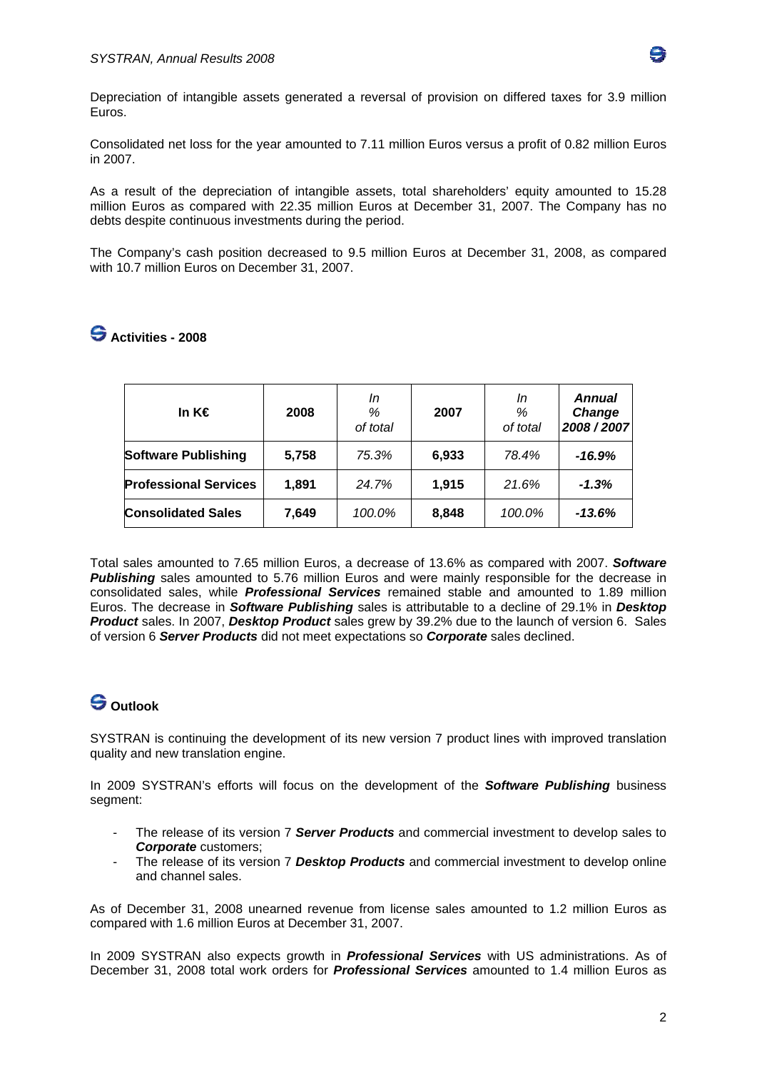

Depreciation of intangible assets generated a reversal of provision on differed taxes for 3.9 million Euros.

Consolidated net loss for the year amounted to 7.11 million Euros versus a profit of 0.82 million Euros in 2007.

As a result of the depreciation of intangible assets, total shareholders' equity amounted to 15.28 million Euros as compared with 22.35 million Euros at December 31, 2007. The Company has no debts despite continuous investments during the period.

The Company's cash position decreased to 9.5 million Euros at December 31, 2008, as compared with 10.7 million Euros on December 31, 2007.

| In $K \in$                   | 2008  | In<br>%<br>of total | 2007  | In<br>%<br>of total | <b>Annual</b><br>Change<br>2008/2007 |
|------------------------------|-------|---------------------|-------|---------------------|--------------------------------------|
| <b>Software Publishing</b>   | 5,758 | 75.3%               | 6,933 | 78.4%               | -16.9%                               |
| <b>Professional Services</b> | 1,891 | 24.7%               | 1,915 | 21.6%               | $-1.3%$                              |
| <b>Consolidated Sales</b>    | 7,649 | 100.0%              | 8,848 | 100.0%              | $-13.6%$                             |

## **Activities - 2008**

Total sales amounted to 7.65 million Euros, a decrease of 13.6% as compared with 2007. *Software*  **Publishing** sales amounted to 5.76 million Euros and were mainly responsible for the decrease in consolidated sales, while *Professional Services* remained stable and amounted to 1.89 million Euros. The decrease in *Software Publishing* sales is attributable to a decline of 29.1% in *Desktop Product* sales. In 2007, *Desktop Product* sales grew by 39.2% due to the launch of version 6. Sales of version 6 *Server Products* did not meet expectations so *Corporate* sales declined.

#### **Outlook**

SYSTRAN is continuing the development of its new version 7 product lines with improved translation quality and new translation engine.

In 2009 SYSTRAN's efforts will focus on the development of the *Software Publishing* business segment:

- The release of its version 7 *Server Products* and commercial investment to develop sales to *Corporate* customers;
- The release of its version 7 *Desktop Products* and commercial investment to develop online and channel sales.

As of December 31, 2008 unearned revenue from license sales amounted to 1.2 million Euros as compared with 1.6 million Euros at December 31, 2007.

In 2009 SYSTRAN also expects growth in *Professional Services* with US administrations. As of December 31, 2008 total work orders for *Professional Services* amounted to 1.4 million Euros as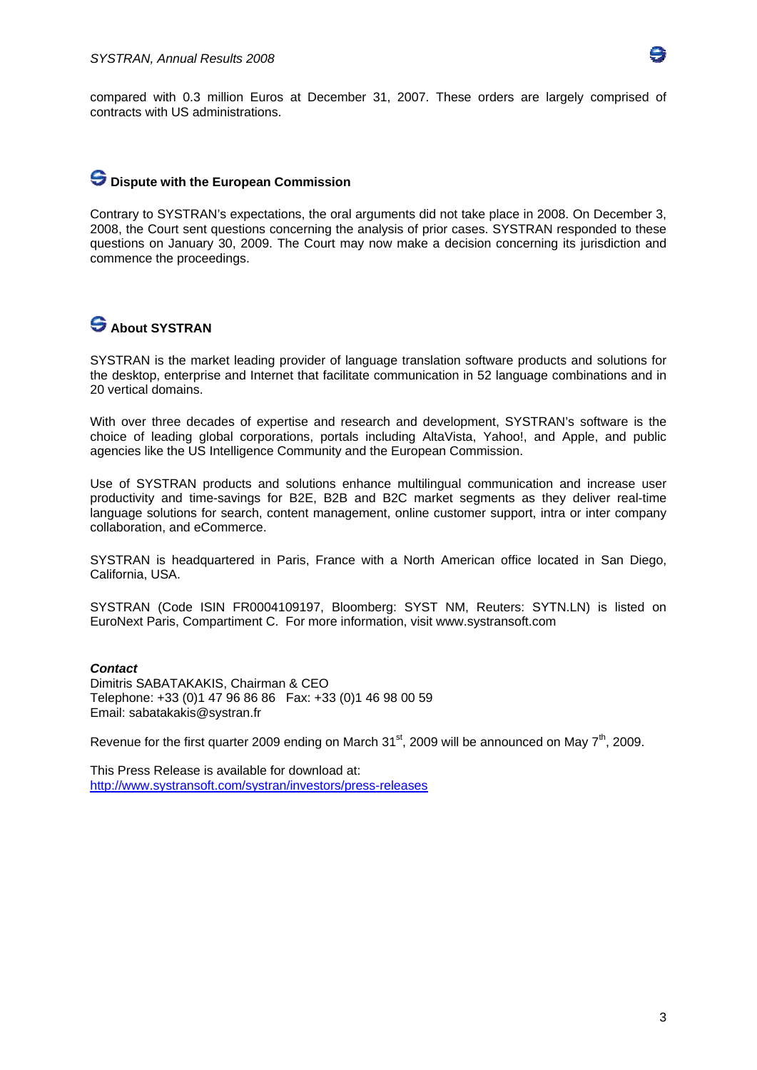

compared with 0.3 million Euros at December 31, 2007. These orders are largely comprised of contracts with US administrations.

### **Dispute with the European Commission**

Contrary to SYSTRAN's expectations, the oral arguments did not take place in 2008. On December 3, 2008, the Court sent questions concerning the analysis of prior cases. SYSTRAN responded to these questions on January 30, 2009. The Court may now make a decision concerning its jurisdiction and commence the proceedings.

## **S** About SYSTRAN

SYSTRAN is the market leading provider of language translation software products and solutions for the desktop, enterprise and Internet that facilitate communication in 52 language combinations and in 20 vertical domains.

With over three decades of expertise and research and development, SYSTRAN's software is the choice of leading global corporations, portals including AltaVista, Yahoo!, and Apple, and public agencies like the US Intelligence Community and the European Commission.

Use of SYSTRAN products and solutions enhance multilingual communication and increase user productivity and time-savings for B2E, B2B and B2C market segments as they deliver real-time language solutions for search, content management, online customer support, intra or inter company collaboration, and eCommerce.

SYSTRAN is headquartered in Paris, France with a North American office located in San Diego, California, USA.

SYSTRAN (Code ISIN FR0004109197, Bloomberg: SYST NM, Reuters: SYTN.LN) is listed on EuroNext Paris, Compartiment C. For more information, visit www.systransoft.com

#### *Contact*

Dimitris SABATAKAKIS, Chairman & CEO Telephone: +33 (0)1 47 96 86 86 Fax: +33 (0)1 46 98 00 59 Email: sabatakakis@systran.fr

Revenue for the first quarter 2009 ending on March  $31<sup>st</sup>$ , 2009 will be announced on May  $7<sup>th</sup>$ , 2009.

This Press Release is available for download at: http://www.systransoft.com/systran/investors/press-releases